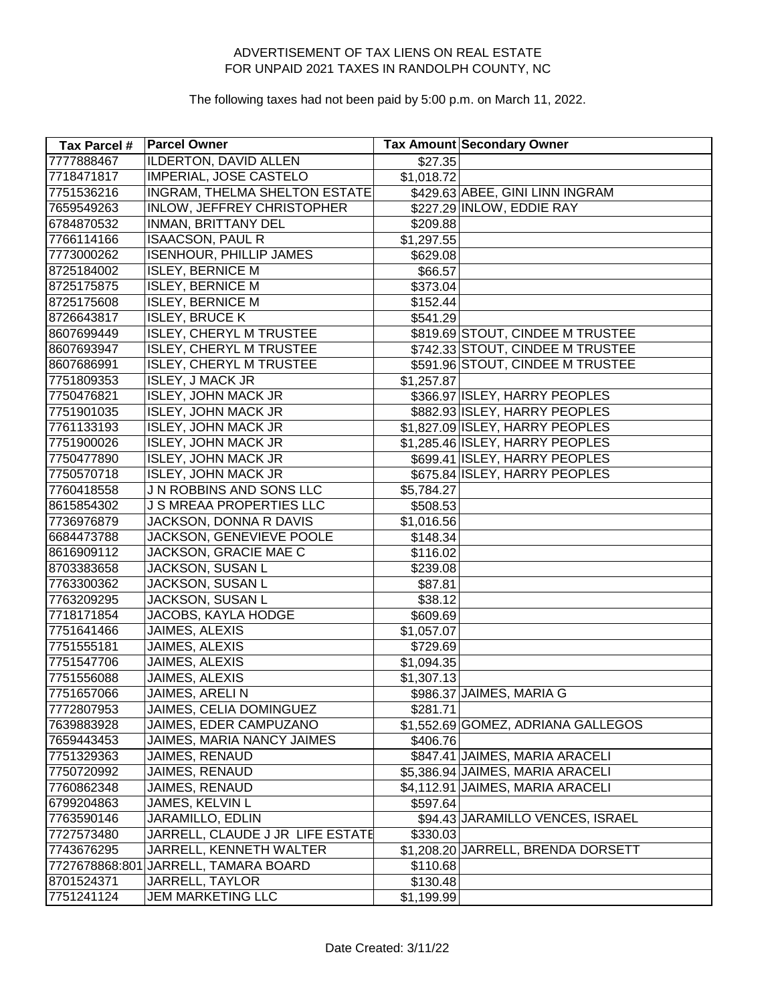| Tax Parcel # | <b>Parcel Owner</b>                  |            | <b>Tax Amount Secondary Owner</b>  |
|--------------|--------------------------------------|------------|------------------------------------|
| 7777888467   | <b>ILDERTON, DAVID ALLEN</b>         | \$27.35    |                                    |
| 7718471817   | <b>IMPERIAL, JOSE CASTELO</b>        | \$1,018.72 |                                    |
| 7751536216   | INGRAM, THELMA SHELTON ESTATE        |            | \$429.63 ABEE, GINI LINN INGRAM    |
| 7659549263   | <b>INLOW, JEFFREY CHRISTOPHER</b>    |            | \$227.29 INLOW, EDDIE RAY          |
| 6784870532   | INMAN, BRITTANY DEL                  | \$209.88   |                                    |
| 7766114166   | <b>ISAACSON, PAUL R</b>              | \$1,297.55 |                                    |
| 7773000262   | <b>ISENHOUR, PHILLIP JAMES</b>       | \$629.08   |                                    |
| 8725184002   | <b>ISLEY, BERNICE M</b>              | \$66.57    |                                    |
| 8725175875   | <b>ISLEY, BERNICE M</b>              | \$373.04   |                                    |
| 8725175608   | <b>ISLEY, BERNICE M</b>              | \$152.44   |                                    |
| 8726643817   | <b>ISLEY, BRUCE K</b>                | \$541.29   |                                    |
| 8607699449   | <b>ISLEY, CHERYL M TRUSTEE</b>       |            | \$819.69 STOUT, CINDEE M TRUSTEE   |
| 8607693947   | <b>ISLEY, CHERYL M TRUSTEE</b>       |            | \$742.33 STOUT, CINDEE M TRUSTEE   |
| 8607686991   | <b>ISLEY, CHERYL M TRUSTEE</b>       |            | \$591.96 STOUT, CINDEE M TRUSTEE   |
| 7751809353   | <b>ISLEY, J MACK JR</b>              | \$1,257.87 |                                    |
| 7750476821   | <b>ISLEY, JOHN MACK JR</b>           |            | \$366.97 ISLEY, HARRY PEOPLES      |
| 7751901035   | <b>ISLEY, JOHN MACK JR</b>           |            | \$882.93 ISLEY, HARRY PEOPLES      |
| 7761133193   | <b>ISLEY, JOHN MACK JR</b>           |            | \$1,827.09 ISLEY, HARRY PEOPLES    |
| 7751900026   | <b>ISLEY, JOHN MACK JR</b>           |            | \$1,285.46 ISLEY, HARRY PEOPLES    |
| 7750477890   | <b>ISLEY, JOHN MACK JR</b>           |            | \$699.41 ISLEY, HARRY PEOPLES      |
| 7750570718   | <b>ISLEY, JOHN MACK JR</b>           |            | \$675.84 ISLEY, HARRY PEOPLES      |
| 7760418558   | JN ROBBINS AND SONS LLC              | \$5,784.27 |                                    |
| 8615854302   | <b>J S MREAA PROPERTIES LLC</b>      | \$508.53   |                                    |
| 7736976879   | <b>JACKSON, DONNA R DAVIS</b>        | \$1,016.56 |                                    |
| 6684473788   | JACKSON, GENEVIEVE POOLE             | \$148.34   |                                    |
| 8616909112   | JACKSON, GRACIE MAE C                | \$116.02   |                                    |
| 8703383658   | JACKSON, SUSAN L                     | \$239.08   |                                    |
| 7763300362   | JACKSON, SUSAN L                     | \$87.81    |                                    |
| 7763209295   | JACKSON, SUSAN L                     | \$38.12    |                                    |
| 7718171854   | JACOBS, KAYLA HODGE                  | \$609.69   |                                    |
| 7751641466   | JAIMES, ALEXIS                       | \$1,057.07 |                                    |
| 7751555181   | JAIMES, ALEXIS                       | \$729.69   |                                    |
| 7751547706   | JAIMES, ALEXIS                       | \$1,094.35 |                                    |
| 7751556088   | JAIMES, ALEXIS                       | \$1,307.13 |                                    |
| 7751657066   | JAIMES, ARELIN                       |            | \$986.37 JAIMES, MARIA G           |
| 7772807953   | JAIMES, CELIA DOMINGUEZ              | \$281.71   |                                    |
| 7639883928   | JAIMES, EDER CAMPUZANO               |            | \$1,552.69 GOMEZ, ADRIANA GALLEGOS |
| 7659443453   | JAIMES, MARIA NANCY JAIMES           | \$406.76   |                                    |
| 7751329363   | JAIMES, RENAUD                       |            | \$847.41 JAIMES, MARIA ARACELI     |
| 7750720992   | JAIMES, RENAUD                       |            | \$5,386.94 JAIMES, MARIA ARACELI   |
| 7760862348   | JAIMES, RENAUD                       |            | \$4,112.91 JAIMES, MARIA ARACELI   |
| 6799204863   | JAMES, KELVIN L                      | \$597.64]  |                                    |
| 7763590146   | JARAMILLO, EDLIN                     |            | \$94.43 JARAMILLO VENCES, ISRAEL   |
| 7727573480   | JARRELL, CLAUDE J JR LIFE ESTATE     | \$330.03   |                                    |
| 7743676295   | JARRELL, KENNETH WALTER              |            | \$1,208.20 JARRELL, BRENDA DORSETT |
|              | 7727678868:801 JARRELL, TAMARA BOARD | \$110.68   |                                    |
| 8701524371   | JARRELL, TAYLOR                      | \$130.48   |                                    |
| 7751241124   | <b>JEM MARKETING LLC</b>             | \$1,199.99 |                                    |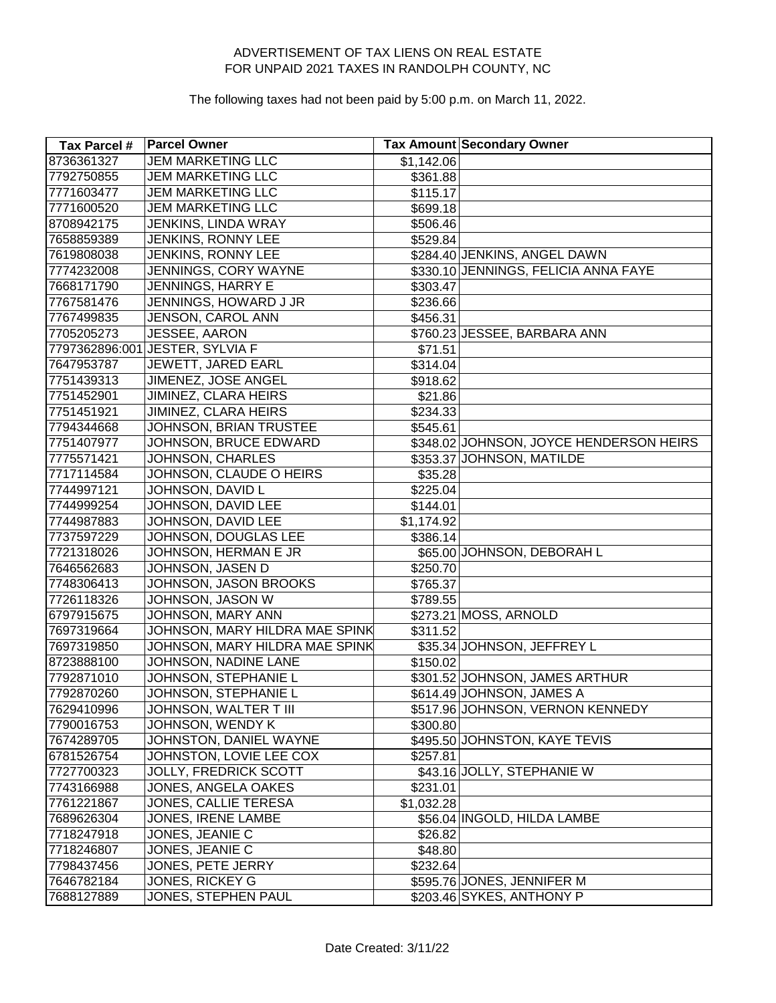| Tax Parcel # | <b>Parcel Owner</b>             |            | <b>Tax Amount Secondary Owner</b>       |
|--------------|---------------------------------|------------|-----------------------------------------|
| 8736361327   | <b>JEM MARKETING LLC</b>        | \$1,142.06 |                                         |
| 7792750855   | <b>JEM MARKETING LLC</b>        | \$361.88   |                                         |
| 7771603477   | <b>JEM MARKETING LLC</b>        | \$115.17   |                                         |
| 7771600520   | <b>JEM MARKETING LLC</b>        | \$699.18   |                                         |
| 8708942175   | JENKINS, LINDA WRAY             | \$506.46   |                                         |
| 7658859389   | JENKINS, RONNY LEE              | \$529.84   |                                         |
| 7619808038   | JENKINS, RONNY LEE              |            | \$284.40 JENKINS, ANGEL DAWN            |
| 7774232008   | JENNINGS, CORY WAYNE            |            | \$330.10 JENNINGS, FELICIA ANNA FAYE    |
| 7668171790   | JENNINGS, HARRY E               | \$303.47   |                                         |
| 7767581476   | JENNINGS, HOWARD J JR           | \$236.66   |                                         |
| 7767499835   | JENSON, CAROL ANN               | \$456.31   |                                         |
| 7705205273   | JESSEE, AARON                   |            | \$760.23 JESSEE, BARBARA ANN            |
|              | 7797362896:001 JESTER, SYLVIA F | \$71.51    |                                         |
| 7647953787   | JEWETT, JARED EARL              | \$314.04   |                                         |
| 7751439313   | JIMENEZ, JOSE ANGEL             | \$918.62   |                                         |
| 7751452901   | JIMINEZ, CLARA HEIRS            | \$21.86    |                                         |
| 7751451921   | JIMINEZ, CLARA HEIRS            | \$234.33   |                                         |
| 7794344668   | JOHNSON, BRIAN TRUSTEE          | \$545.61   |                                         |
| 7751407977   | JOHNSON, BRUCE EDWARD           |            | \$348.02 JOHNSON, JOYCE HENDERSON HEIRS |
| 7775571421   | JOHNSON, CHARLES                |            | \$353.37 JOHNSON, MATILDE               |
| 7717114584   | JOHNSON, CLAUDE O HEIRS         | \$35.28    |                                         |
| 7744997121   | JOHNSON, DAVID L                | \$225.04   |                                         |
| 7744999254   | JOHNSON, DAVID LEE              | \$144.01   |                                         |
| 7744987883   | JOHNSON, DAVID LEE              | \$1,174.92 |                                         |
| 7737597229   | JOHNSON, DOUGLAS LEE            | \$386.14   |                                         |
| 7721318026   | JOHNSON, HERMAN E JR            |            | \$65.00 JOHNSON, DEBORAH L              |
| 7646562683   | JOHNSON, JASEN D                | \$250.70   |                                         |
| 7748306413   | JOHNSON, JASON BROOKS           | \$765.37   |                                         |
| 7726118326   | JOHNSON, JASON W                | \$789.55   |                                         |
| 6797915675   | JOHNSON, MARY ANN               |            | \$273.21 MOSS, ARNOLD                   |
| 7697319664   | JOHNSON, MARY HILDRA MAE SPINK  | \$311.52   |                                         |
| 7697319850   | JOHNSON, MARY HILDRA MAE SPINK  |            | \$35.34 JOHNSON, JEFFREY L              |
| 8723888100   | JOHNSON, NADINE LANE            | \$150.02   |                                         |
| 7792871010   | JOHNSON, STEPHANIE L            |            | \$301.52 JOHNSON, JAMES ARTHUR          |
| 7792870260   | JOHNSON, STEPHANIE L            |            | \$614.49 JOHNSON, JAMES A               |
| 7629410996   | JOHNSON, WALTER T III           |            | \$517.96 JOHNSON, VERNON KENNEDY        |
| 7790016753   | JOHNSON, WENDY K                | \$300.80   |                                         |
| 7674289705   | JOHNSTON, DANIEL WAYNE          |            | \$495.50 JOHNSTON, KAYE TEVIS           |
| 6781526754   | JOHNSTON, LOVIE LEE COX         | \$257.81   |                                         |
| 7727700323   | <b>JOLLY, FREDRICK SCOTT</b>    |            | \$43.16 JOLLY, STEPHANIE W              |
| 7743166988   | JONES, ANGELA OAKES             | \$231.01   |                                         |
| 7761221867   | <b>JONES, CALLIE TERESA</b>     | \$1,032.28 |                                         |
| 7689626304   | JONES, IRENE LAMBE              |            | \$56.04 INGOLD, HILDA LAMBE             |
| 7718247918   | JONES, JEANIE C                 | \$26.82    |                                         |
| 7718246807   | JONES, JEANIE C                 | \$48.80    |                                         |
| 7798437456   | JONES, PETE JERRY               | \$232.64   |                                         |
| 7646782184   | JONES, RICKEY G                 |            | \$595.76 JONES, JENNIFER M              |
| 7688127889   | JONES, STEPHEN PAUL             |            | \$203.46 SYKES, ANTHONY P               |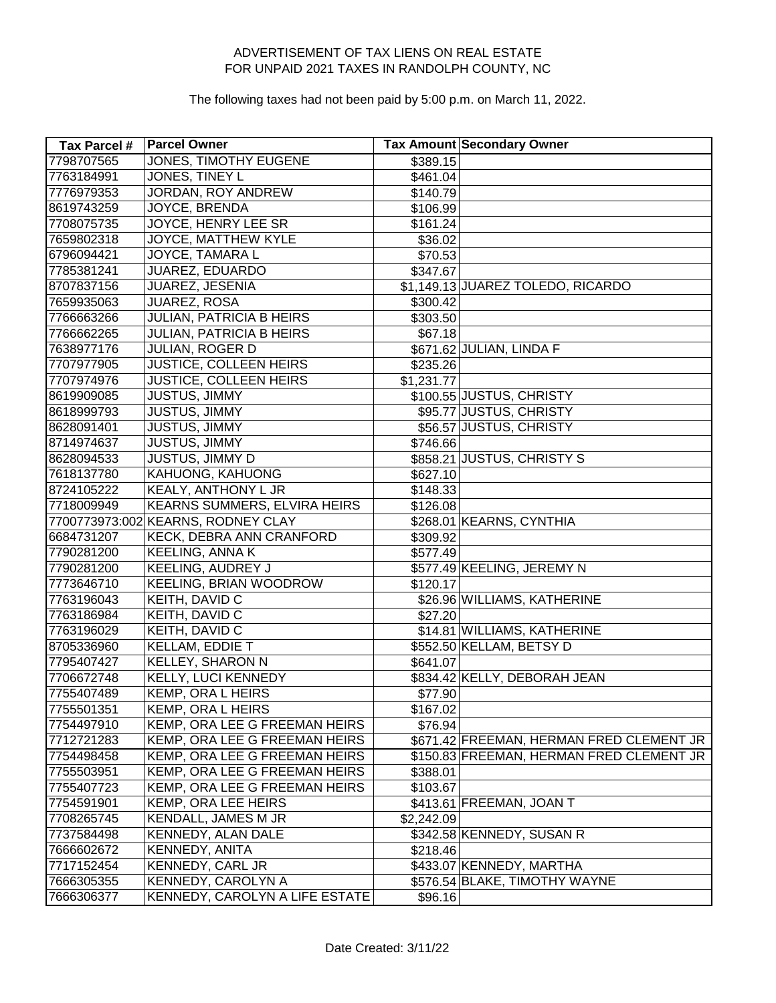| Tax Parcel # | <b>Parcel Owner</b>                |            | <b>Tax Amount Secondary Owner</b>        |
|--------------|------------------------------------|------------|------------------------------------------|
| 7798707565   | <b>JONES, TIMOTHY EUGENE</b>       | \$389.15   |                                          |
| 7763184991   | JONES, TINEY L                     | \$461.04   |                                          |
| 7776979353   | JORDAN, ROY ANDREW                 | \$140.79   |                                          |
| 8619743259   | <b>JOYCE, BRENDA</b>               | \$106.99   |                                          |
| 7708075735   | JOYCE, HENRY LEE SR                | \$161.24   |                                          |
| 7659802318   | JOYCE, MATTHEW KYLE                | \$36.02    |                                          |
| 6796094421   | JOYCE, TAMARA L                    | \$70.53    |                                          |
| 7785381241   | JUAREZ, EDUARDO                    | \$347.67   |                                          |
| 8707837156   | JUAREZ, JESENIA                    |            | \$1,149.13 JUAREZ TOLEDO, RICARDO        |
| 7659935063   | JUAREZ, ROSA                       | \$300.42   |                                          |
| 7766663266   | <b>JULIAN, PATRICIA B HEIRS</b>    | \$303.50   |                                          |
| 7766662265   | <b>JULIAN, PATRICIA B HEIRS</b>    | \$67.18    |                                          |
| 7638977176   | JULIAN, ROGER D                    |            | \$671.62 JULIAN, LINDA F                 |
| 7707977905   | <b>JUSTICE, COLLEEN HEIRS</b>      | \$235.26   |                                          |
| 7707974976   | JUSTICE, COLLEEN HEIRS             | \$1,231.77 |                                          |
| 8619909085   | <b>JUSTUS, JIMMY</b>               |            | \$100.55 JUSTUS, CHRISTY                 |
| 8618999793   | <b>JUSTUS, JIMMY</b>               |            | \$95.77 JUSTUS, CHRISTY                  |
| 8628091401   | JUSTUS, JIMMY                      |            | \$56.57 JUSTUS, CHRISTY                  |
| 8714974637   | JUSTUS, JIMMY                      | \$746.66   |                                          |
| 8628094533   | <b>JUSTUS, JIMMY D</b>             |            | \$858.21 JUSTUS, CHRISTY S               |
| 7618137780   | KAHUONG, KAHUONG                   | \$627.10   |                                          |
| 8724105222   | KEALY, ANTHONY L JR                | \$148.33   |                                          |
| 7718009949   | KEARNS SUMMERS, ELVIRA HEIRS       | \$126.08   |                                          |
|              | 7700773973:002 KEARNS, RODNEY CLAY |            | \$268.01 KEARNS, CYNTHIA                 |
| 6684731207   | KECK, DEBRA ANN CRANFORD           | \$309.92   |                                          |
| 7790281200   | <b>KEELING, ANNA K</b>             | \$577.49   |                                          |
| 7790281200   | KEELING, AUDREY J                  |            | \$577.49 KEELING, JEREMY N               |
| 7773646710   | <b>KEELING, BRIAN WOODROW</b>      | \$120.17   |                                          |
| 7763196043   | KEITH, DAVID C                     |            | \$26.96 WILLIAMS, KATHERINE              |
| 7763186984   | KEITH, DAVID C                     | \$27.20    |                                          |
| 7763196029   | KEITH, DAVID C                     |            | \$14.81 WILLIAMS, KATHERINE              |
| 8705336960   | KELLAM, EDDIE T                    |            | \$552.50 KELLAM, BETSY D                 |
| 7795407427   | <b>KELLEY, SHARON N</b>            | \$641.07   |                                          |
| 7706672748   | KELLY, LUCI KENNEDY                |            | \$834.42 KELLY, DEBORAH JEAN             |
| 7755407489   | KEMP, ORA L HEIRS                  | \$77.90    |                                          |
| 7755501351   | KEMP, ORA L HEIRS                  | \$167.02   |                                          |
| 7754497910   | KEMP, ORA LEE G FREEMAN HEIRS      | \$76.94    |                                          |
| 7712721283   | KEMP, ORA LEE G FREEMAN HEIRS      |            | \$671.42 FREEMAN, HERMAN FRED CLEMENT JR |
| 7754498458   | KEMP, ORA LEE G FREEMAN HEIRS      |            | \$150.83 FREEMAN, HERMAN FRED CLEMENT JR |
| 7755503951   | KEMP, ORA LEE G FREEMAN HEIRS      | \$388.01   |                                          |
| 7755407723   | KEMP, ORA LEE G FREEMAN HEIRS      | \$103.67   |                                          |
| 7754591901   | <b>KEMP, ORA LEE HEIRS</b>         |            | \$413.61 FREEMAN, JOAN T                 |
| 7708265745   | KENDALL, JAMES M JR                | \$2,242.09 |                                          |
| 7737584498   | KENNEDY, ALAN DALE                 |            | \$342.58 KENNEDY, SUSAN R                |
| 7666602672   | KENNEDY, ANITA                     | \$218.46   |                                          |
| 7717152454   | <b>KENNEDY, CARL JR</b>            |            | \$433.07 KENNEDY, MARTHA                 |
| 7666305355   | KENNEDY, CAROLYN A                 |            | \$576.54 BLAKE, TIMOTHY WAYNE            |
| 7666306377   | KENNEDY, CAROLYN A LIFE ESTATE     | \$96.16    |                                          |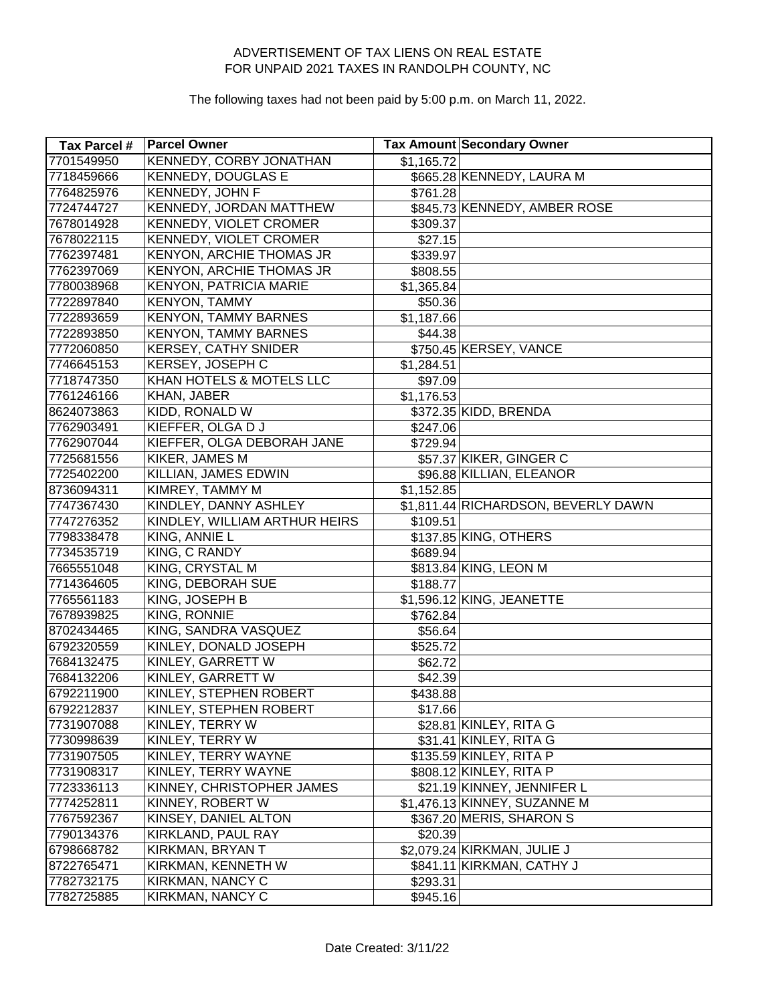| Tax Parcel # | <b>Parcel Owner</b>             |            | Tax Amount Secondary Owner          |
|--------------|---------------------------------|------------|-------------------------------------|
| 7701549950   | <b>KENNEDY, CORBY JONATHAN</b>  | \$1,165.72 |                                     |
| 7718459666   | <b>KENNEDY, DOUGLAS E</b>       |            | \$665.28 KENNEDY, LAURA M           |
| 7764825976   | <b>KENNEDY, JOHN F</b>          | \$761.28   |                                     |
| 7724744727   | <b>KENNEDY, JORDAN MATTHEW</b>  |            | \$845.73 KENNEDY, AMBER ROSE        |
| 7678014928   | <b>KENNEDY, VIOLET CROMER</b>   | \$309.37   |                                     |
| 7678022115   | KENNEDY, VIOLET CROMER          | \$27.15    |                                     |
| 7762397481   | KENYON, ARCHIE THOMAS JR        | \$339.97   |                                     |
| 7762397069   | <b>KENYON, ARCHIE THOMAS JR</b> | \$808.55   |                                     |
| 7780038968   | <b>KENYON, PATRICIA MARIE</b>   | \$1,365.84 |                                     |
| 7722897840   | <b>KENYON, TAMMY</b>            | \$50.36    |                                     |
| 7722893659   | <b>KENYON, TAMMY BARNES</b>     | \$1,187.66 |                                     |
| 7722893850   | <b>KENYON, TAMMY BARNES</b>     | \$44.38    |                                     |
| 7772060850   | <b>KERSEY, CATHY SNIDER</b>     |            | \$750.45 KERSEY, VANCE              |
| 7746645153   | KERSEY, JOSEPH C                | \$1,284.51 |                                     |
| 7718747350   | KHAN HOTELS & MOTELS LLC        | \$97.09    |                                     |
| 7761246166   | KHAN, JABER                     | \$1,176.53 |                                     |
| 8624073863   | KIDD, RONALD W                  |            | \$372.35 KIDD, BRENDA               |
| 7762903491   | KIEFFER, OLGA D J               | \$247.06   |                                     |
| 7762907044   | KIEFFER, OLGA DEBORAH JANE      | \$729.94   |                                     |
| 7725681556   | <b>KIKER, JAMES M</b>           |            | \$57.37 KIKER, GINGER C             |
| 7725402200   | <b>KILLIAN, JAMES EDWIN</b>     |            | \$96.88 KILLIAN, ELEANOR            |
| 8736094311   | KIMREY, TAMMY M                 | \$1,152.85 |                                     |
| 7747367430   | KINDLEY, DANNY ASHLEY           |            | \$1,811.44 RICHARDSON, BEVERLY DAWN |
| 7747276352   | KINDLEY, WILLIAM ARTHUR HEIRS   | \$109.51   |                                     |
| 7798338478   | KING, ANNIE L                   |            | \$137.85 KING, OTHERS               |
| 7734535719   | KING, C RANDY                   | \$689.94   |                                     |
| 7665551048   | KING, CRYSTAL M                 |            | \$813.84 KING, LEON M               |
| 7714364605   | KING, DEBORAH SUE               | \$188.77   |                                     |
| 7765561183   | KING, JOSEPH B                  |            | \$1,596.12 KING, JEANETTE           |
| 7678939825   | KING, RONNIE                    | \$762.84   |                                     |
| 8702434465   | KING, SANDRA VASQUEZ            | \$56.64    |                                     |
| 6792320559   | KINLEY, DONALD JOSEPH           | \$525.72   |                                     |
| 7684132475   | KINLEY, GARRETT W               | \$62.72    |                                     |
| 7684132206   | KINLEY, GARRETT W               | \$42.39    |                                     |
| 6792211900   | KINLEY, STEPHEN ROBERT          | \$438.88   |                                     |
| 6792212837   | KINLEY, STEPHEN ROBERT          | \$17.66    |                                     |
| 7731907088   | KINLEY, TERRY W                 |            | \$28.81 KINLEY, RITA G              |
| 7730998639   | KINLEY, TERRY W                 |            | $$31.41$ KINLEY, RITA G             |
| 7731907505   | KINLEY, TERRY WAYNE             |            | \$135.59 KINLEY, RITA P             |
| 7731908317   | KINLEY, TERRY WAYNE             |            | \$808.12 KINLEY, RITA P             |
| 7723336113   | KINNEY, CHRISTOPHER JAMES       |            | \$21.19 KINNEY, JENNIFER L          |
| 7774252811   | KINNEY, ROBERT W                |            | \$1,476.13 KINNEY, SUZANNE M        |
| 7767592367   | KINSEY, DANIEL ALTON            |            | \$367.20 MERIS, SHARON S            |
| 7790134376   | KIRKLAND, PAUL RAY              | \$20.39    |                                     |
| 6798668782   | KIRKMAN, BRYAN T                |            | \$2,079.24 KIRKMAN, JULIE J         |
| 8722765471   | KIRKMAN, KENNETH W              |            | \$841.11 KIRKMAN, CATHY J           |
| 7782732175   | KIRKMAN, NANCY C                | \$293.31   |                                     |
| 7782725885   | KIRKMAN, NANCY C                | \$945.16   |                                     |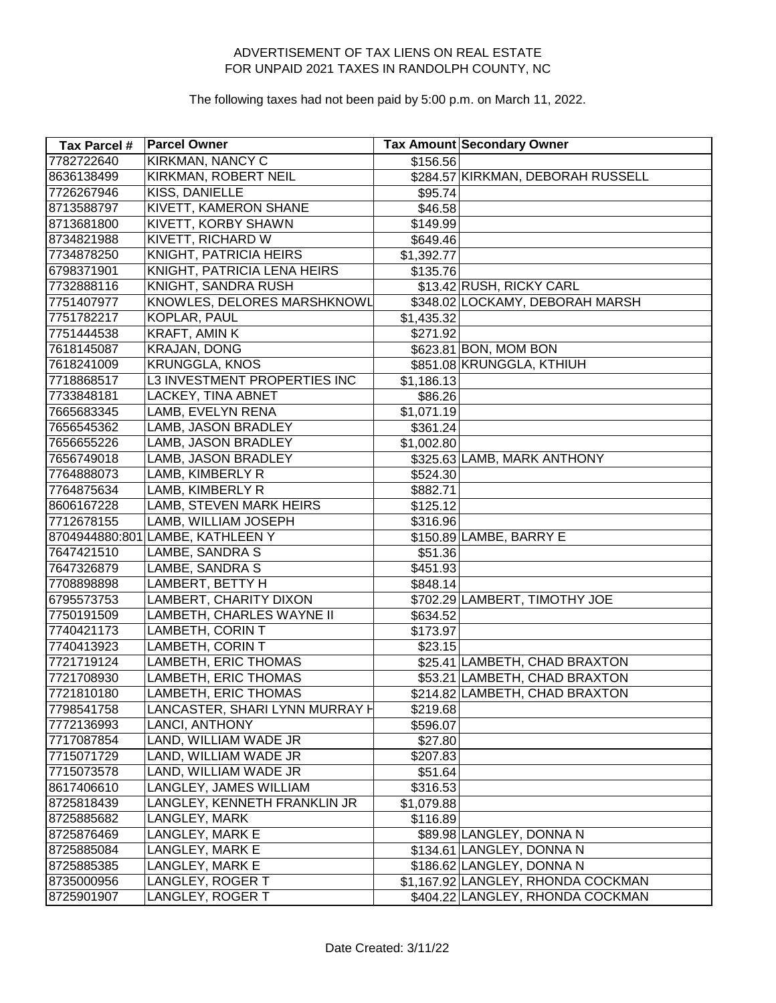| Tax Parcel # | <b>Parcel Owner</b>              |                      | <b>Tax Amount Secondary Owner</b>  |
|--------------|----------------------------------|----------------------|------------------------------------|
| 7782722640   | <b>KIRKMAN, NANCY C</b>          | $\overline{$}156.56$ |                                    |
| 8636138499   | KIRKMAN, ROBERT NEIL             |                      | \$284.57 KIRKMAN, DEBORAH RUSSELL  |
| 7726267946   | KISS, DANIELLE                   | \$95.74              |                                    |
| 8713588797   | <b>KIVETT, KAMERON SHANE</b>     | \$46.58              |                                    |
| 8713681800   | KIVETT, KORBY SHAWN              | \$149.99             |                                    |
| 8734821988   | KIVETT, RICHARD W                | \$649.46             |                                    |
| 7734878250   | KNIGHT, PATRICIA HEIRS           | \$1,392.77           |                                    |
| 6798371901   | KNIGHT, PATRICIA LENA HEIRS      | \$135.76             |                                    |
| 7732888116   | KNIGHT, SANDRA RUSH              |                      | \$13.42 RUSH, RICKY CARL           |
| 7751407977   | KNOWLES, DELORES MARSHKNOWL      |                      | \$348.02 LOCKAMY, DEBORAH MARSH    |
| 7751782217   | KOPLAR, PAUL                     | \$1,435.32           |                                    |
| 7751444538   | KRAFT, AMIN K                    | $\overline{$}271.92$ |                                    |
| 7618145087   | <b>KRAJAN, DONG</b>              |                      | \$623.81 BON, MOM BON              |
| 7618241009   | <b>KRUNGGLA, KNOS</b>            |                      | \$851.08 KRUNGGLA, KTHIUH          |
| 7718868517   | L3 INVESTMENT PROPERTIES INC     | \$1,186.13           |                                    |
| 7733848181   | <b>LACKEY, TINA ABNET</b>        | \$86.26              |                                    |
| 7665683345   | LAMB, EVELYN RENA                | \$1,071.19           |                                    |
| 7656545362   | LAMB, JASON BRADLEY              | \$361.24             |                                    |
| 7656655226   | LAMB, JASON BRADLEY              | \$1,002.80           |                                    |
| 7656749018   | LAMB, JASON BRADLEY              |                      | \$325.63 LAMB, MARK ANTHONY        |
| 7764888073   | LAMB, KIMBERLY R                 | \$524.30             |                                    |
| 7764875634   | LAMB, KIMBERLY R                 | \$882.71             |                                    |
| 8606167228   | LAMB, STEVEN MARK HEIRS          | \$125.12             |                                    |
| 7712678155   | LAMB, WILLIAM JOSEPH             | \$316.96             |                                    |
|              | 8704944880:801 LAMBE, KATHLEEN Y |                      | \$150.89 LAMBE, BARRY E            |
| 7647421510   | LAMBE, SANDRA S                  | \$51.36              |                                    |
| 7647326879   | LAMBE, SANDRA S                  | \$451.93             |                                    |
| 7708898898   | LAMBERT, BETTY H                 | \$848.14             |                                    |
| 6795573753   | LAMBERT, CHARITY DIXON           |                      | \$702.29 LAMBERT, TIMOTHY JOE      |
| 7750191509   | LAMBETH, CHARLES WAYNE II        | \$634.52             |                                    |
| 7740421173   | LAMBETH, CORIN T                 | \$173.97             |                                    |
| 7740413923   | <b>LAMBETH, CORIN T</b>          | \$23.15              |                                    |
| 7721719124   | LAMBETH, ERIC THOMAS             |                      | \$25.41 LAMBETH, CHAD BRAXTON      |
| 7721708930   | <b>LAMBETH, ERIC THOMAS</b>      |                      | \$53.21 LAMBETH, CHAD BRAXTON      |
| 7721810180   | <b>LAMBETH, ERIC THOMAS</b>      |                      | \$214.82 LAMBETH, CHAD BRAXTON     |
| 7798541758   | LANCASTER, SHARI LYNN MURRAY H   | \$219.68             |                                    |
| 7772136993   | LANCI, ANTHONY                   | \$596.07             |                                    |
| 7717087854   | LAND, WILLIAM WADE JR            | \$27.80              |                                    |
| 7715071729   | LAND, WILLIAM WADE JR            | \$207.83             |                                    |
| 7715073578   | LAND, WILLIAM WADE JR            | \$51.64              |                                    |
| 8617406610   | LANGLEY, JAMES WILLIAM           | \$316.53             |                                    |
| 8725818439   | LANGLEY, KENNETH FRANKLIN JR     | \$1,079.88           |                                    |
| 8725885682   | LANGLEY, MARK                    | \$116.89             |                                    |
| 8725876469   | LANGLEY, MARK E                  |                      | \$89.98 LANGLEY, DONNA N           |
| 8725885084   | LANGLEY, MARK E                  |                      | \$134.61 LANGLEY, DONNA N          |
| 8725885385   | LANGLEY, MARK E                  |                      | \$186.62 LANGLEY, DONNA N          |
| 8735000956   | LANGLEY, ROGER T                 |                      | \$1,167.92 LANGLEY, RHONDA COCKMAN |
| 8725901907   | LANGLEY, ROGER T                 |                      | \$404.22 LANGLEY, RHONDA COCKMAN   |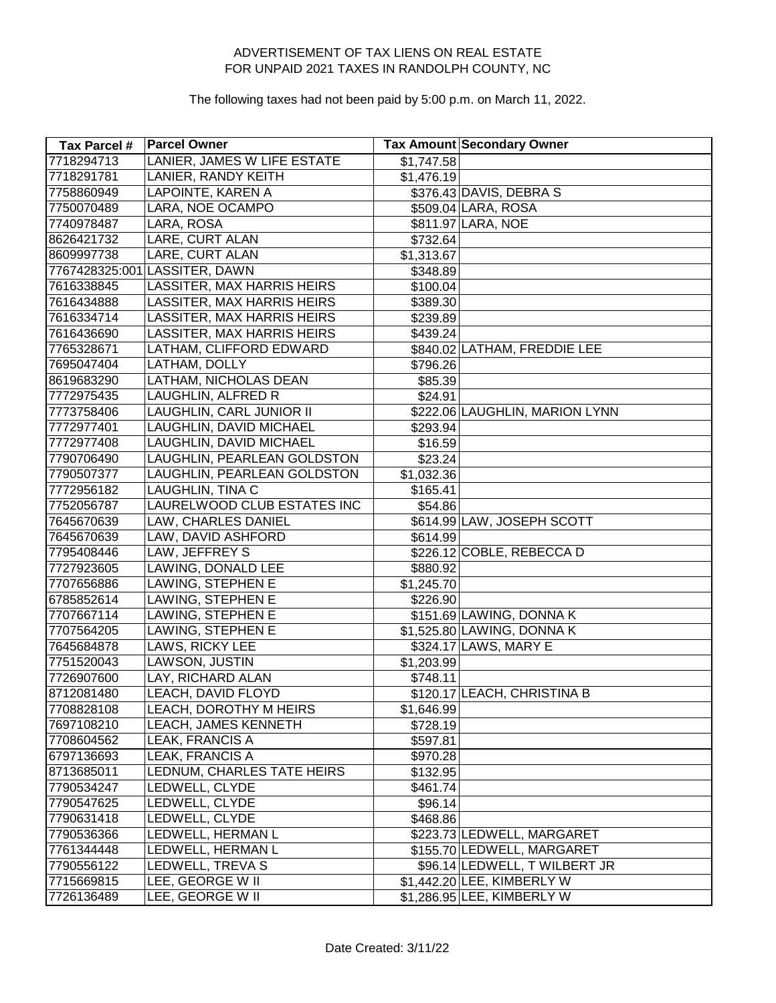| Tax Parcel # | <b>Parcel Owner</b>               |            | <b>Tax Amount Secondary Owner</b> |
|--------------|-----------------------------------|------------|-----------------------------------|
| 7718294713   | LANIER, JAMES W LIFE ESTATE       | \$1,747.58 |                                   |
| 7718291781   | LANIER, RANDY KEITH               | \$1,476.19 |                                   |
| 7758860949   | LAPOINTE, KAREN A                 |            | \$376.43 DAVIS, DEBRA S           |
| 7750070489   | LARA, NOE OCAMPO                  |            | \$509.04 LARA, ROSA               |
| 7740978487   | LARA, ROSA                        |            | \$811.97 LARA, NOE                |
| 8626421732   | LARE, CURT ALAN                   | \$732.64   |                                   |
| 8609997738   | LARE, CURT ALAN                   | \$1,313.67 |                                   |
|              | 7767428325:001 LASSITER, DAWN     | \$348.89   |                                   |
| 7616338845   | LASSITER, MAX HARRIS HEIRS        | \$100.04   |                                   |
| 7616434888   | <b>LASSITER, MAX HARRIS HEIRS</b> | \$389.30   |                                   |
| 7616334714   | LASSITER, MAX HARRIS HEIRS        | \$239.89   |                                   |
| 7616436690   | LASSITER, MAX HARRIS HEIRS        | \$439.24]  |                                   |
| 7765328671   | LATHAM, CLIFFORD EDWARD           |            | \$840.02 LATHAM, FREDDIE LEE      |
| 7695047404   | LATHAM, DOLLY                     | \$796.26   |                                   |
| 8619683290   | LATHAM, NICHOLAS DEAN             | \$85.39    |                                   |
| 7772975435   | LAUGHLIN, ALFRED R                | \$24.91    |                                   |
| 7773758406   | LAUGHLIN, CARL JUNIOR II          |            | \$222.06 LAUGHLIN, MARION LYNN    |
| 7772977401   | LAUGHLIN, DAVID MICHAEL           | \$293.94   |                                   |
| 7772977408   | LAUGHLIN, DAVID MICHAEL           | \$16.59    |                                   |
| 7790706490   | LAUGHLIN, PEARLEAN GOLDSTON       | \$23.24    |                                   |
| 7790507377   | LAUGHLIN, PEARLEAN GOLDSTON       | \$1,032.36 |                                   |
| 7772956182   | LAUGHLIN, TINA C                  | \$165.41   |                                   |
| 7752056787   | LAURELWOOD CLUB ESTATES INC       | \$54.86    |                                   |
| 7645670639   | LAW, CHARLES DANIEL               |            | \$614.99 LAW, JOSEPH SCOTT        |
| 7645670639   | LAW, DAVID ASHFORD                | \$614.99   |                                   |
| 7795408446   | LAW, JEFFREY S                    |            | \$226.12 COBLE, REBECCA D         |
| 7727923605   | LAWING, DONALD LEE                | \$880.92   |                                   |
| 7707656886   | LAWING, STEPHEN E                 | \$1,245.70 |                                   |
| 6785852614   | LAWING, STEPHEN E                 | \$226.90   |                                   |
| 7707667114   | LAWING, STEPHEN E                 |            | \$151.69 LAWING, DONNA K          |
| 7707564205   | LAWING, STEPHEN E                 |            | \$1,525.80 LAWING, DONNA K        |
| 7645684878   | LAWS, RICKY LEE                   |            | \$324.17 LAWS, MARY E             |
| 7751520043   | LAWSON, JUSTIN                    | \$1,203.99 |                                   |
| 7726907600   | LAY, RICHARD ALAN                 | \$748.11   |                                   |
| 8712081480   | LEACH, DAVID FLOYD                |            | \$120.17 LEACH, CHRISTINA B       |
| 7708828108   | LEACH, DOROTHY M HEIRS            | \$1,646.99 |                                   |
| 7697108210   | LEACH, JAMES KENNETH              | \$728.19   |                                   |
| 7708604562   | LEAK, FRANCIS A                   | \$597.81   |                                   |
| 6797136693   | LEAK, FRANCIS A                   | \$970.28   |                                   |
| 8713685011   | LEDNUM, CHARLES TATE HEIRS        | \$132.95   |                                   |
| 7790534247   | LEDWELL, CLYDE                    | \$461.74   |                                   |
| 7790547625   | LEDWELL, CLYDE                    | \$96.14    |                                   |
| 7790631418   | LEDWELL, CLYDE                    | \$468.86   |                                   |
| 7790536366   | LEDWELL, HERMAN L                 |            | \$223.73 LEDWELL, MARGARET        |
| 7761344448   | LEDWELL, HERMAN L                 |            | \$155.70 LEDWELL, MARGARET        |
| 7790556122   | LEDWELL, TREVA S                  |            | \$96.14 LEDWELL, T WILBERT JR     |
| 7715669815   | LEE, GEORGE W II                  |            | \$1,442.20 LEE, KIMBERLY W        |
| 7726136489   | LEE, GEORGE W II                  |            | \$1,286.95 LEE, KIMBERLY W        |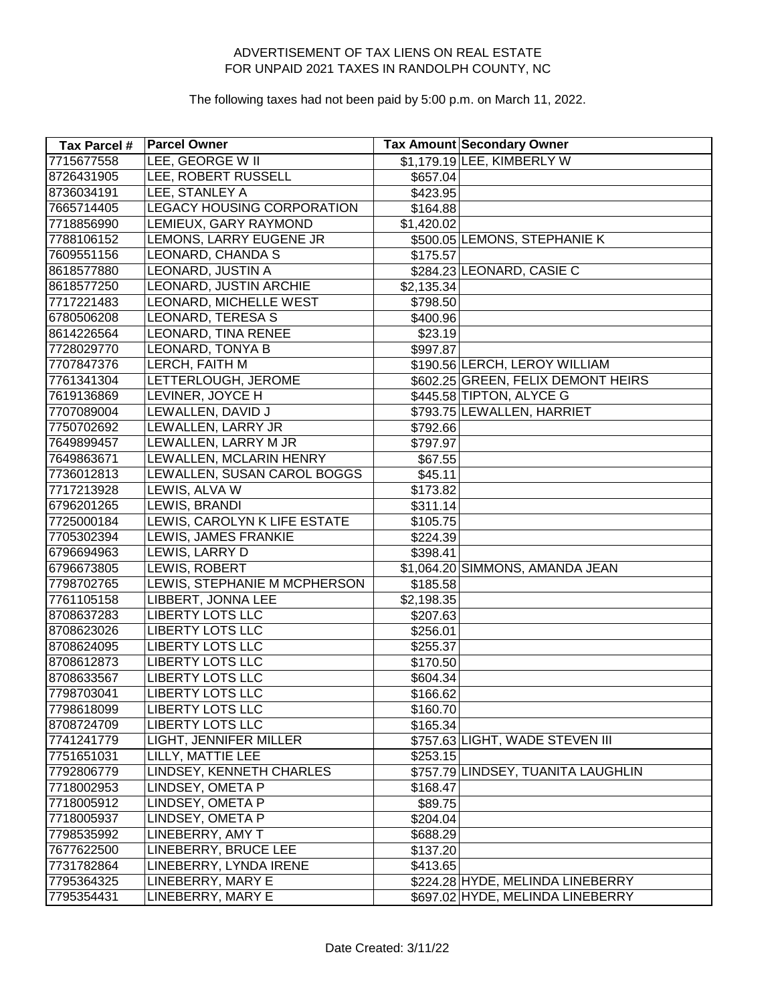| Tax Parcel # | <b>Parcel Owner</b>               |            | <b>Tax Amount Secondary Owner</b>  |
|--------------|-----------------------------------|------------|------------------------------------|
| 7715677558   | <b>LEE, GEORGE W II</b>           |            | \$1,179.19 LEE, KIMBERLY W         |
| 8726431905   | <b>LEE, ROBERT RUSSELL</b>        | \$657.04   |                                    |
| 8736034191   | LEE, STANLEY A                    | \$423.95   |                                    |
| 7665714405   | <b>LEGACY HOUSING CORPORATION</b> | \$164.88   |                                    |
| 7718856990   | LEMIEUX, GARY RAYMOND             | \$1,420.02 |                                    |
| 7788106152   | LEMONS, LARRY EUGENE JR           |            | \$500.05 LEMONS, STEPHANIE K       |
| 7609551156   | LEONARD, CHANDA S                 | \$175.57   |                                    |
| 8618577880   | LEONARD, JUSTIN A                 |            | \$284.23 LEONARD, CASIE C          |
| 8618577250   | LEONARD, JUSTIN ARCHIE            | \$2,135.34 |                                    |
| 7717221483   | LEONARD, MICHELLE WEST            | \$798.50   |                                    |
| 6780506208   | <b>LEONARD, TERESA S</b>          | \$400.96   |                                    |
| 8614226564   | LEONARD, TINA RENEE               | \$23.19    |                                    |
| 7728029770   | LEONARD, TONYA B                  | \$997.87   |                                    |
| 7707847376   | LERCH, FAITH M                    |            | \$190.56 LERCH, LEROY WILLIAM      |
| 7761341304   | LETTERLOUGH, JEROME               |            | \$602.25 GREEN, FELIX DEMONT HEIRS |
| 7619136869   | LEVINER, JOYCE H                  |            | \$445.58 TIPTON, ALYCE G           |
| 7707089004   | LEWALLEN, DAVID J                 |            | \$793.75 LEWALLEN, HARRIET         |
| 7750702692   | LEWALLEN, LARRY JR                | \$792.66   |                                    |
| 7649899457   | LEWALLEN, LARRY M JR              | \$797.97   |                                    |
| 7649863671   | LEWALLEN, MCLARIN HENRY           | \$67.55    |                                    |
| 7736012813   | LEWALLEN, SUSAN CAROL BOGGS       | \$45.11    |                                    |
| 7717213928   | LEWIS, ALVA W                     | \$173.82   |                                    |
| 6796201265   | LEWIS, BRANDI                     | \$311.14   |                                    |
| 7725000184   | LEWIS, CAROLYN K LIFE ESTATE      | \$105.75   |                                    |
| 7705302394   | LEWIS, JAMES FRANKIE              | \$224.39   |                                    |
| 6796694963   | LEWIS, LARRY D                    | \$398.41   |                                    |
| 6796673805   | LEWIS, ROBERT                     |            | \$1,064.20 SIMMONS, AMANDA JEAN    |
| 7798702765   | LEWIS, STEPHANIE M MCPHERSON      | \$185.58   |                                    |
| 7761105158   | LIBBERT, JONNA LEE                | \$2,198.35 |                                    |
| 8708637283   | <b>LIBERTY LOTS LLC</b>           | \$207.63   |                                    |
| 8708623026   | <b>LIBERTY LOTS LLC</b>           | \$256.01   |                                    |
| 8708624095   | <b>LIBERTY LOTS LLC</b>           | \$255.37   |                                    |
| 8708612873   | <b>LIBERTY LOTS LLC</b>           | \$170.50   |                                    |
| 8708633567   | <b>LIBERTY LOTS LLC</b>           | \$604.34   |                                    |
| 7798703041   | <b>LIBERTY LOTS LLC</b>           | \$166.62   |                                    |
| 7798618099   | <b>LIBERTY LOTS LLC</b>           | \$160.70   |                                    |
| 8708724709   | <b>LIBERTY LOTS LLC</b>           | \$165.34   |                                    |
| 7741241779   | LIGHT, JENNIFER MILLER            |            | \$757.63 LIGHT, WADE STEVEN III    |
| 7751651031   | LILLY, MATTIE LEE                 | \$253.15   |                                    |
| 7792806779   | LINDSEY, KENNETH CHARLES          |            | \$757.79 LINDSEY, TUANITA LAUGHLIN |
| 7718002953   | LINDSEY, OMETA P                  | \$168.47   |                                    |
| 7718005912   | LINDSEY, OMETA P                  | \$89.75    |                                    |
| 7718005937   | LINDSEY, OMETA P                  | \$204.04   |                                    |
| 7798535992   | LINEBERRY, AMY T                  | \$688.29   |                                    |
| 7677622500   | LINEBERRY, BRUCE LEE              | \$137.20   |                                    |
| 7731782864   | LINEBERRY, LYNDA IRENE            | \$413.65   |                                    |
| 7795364325   | LINEBERRY, MARY E                 |            | \$224.28 HYDE, MELINDA LINEBERRY   |
| 7795354431   | LINEBERRY, MARY E                 |            | \$697.02 HYDE, MELINDA LINEBERRY   |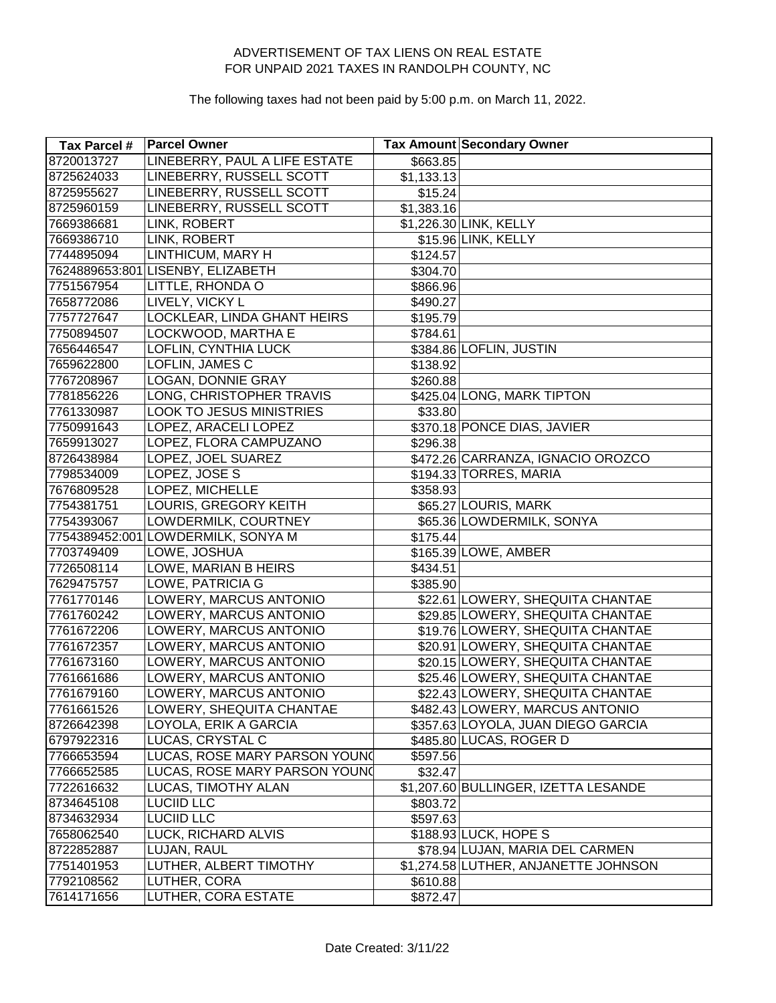| Tax Parcel # | <b>Parcel Owner</b>                |            | <b>Tax Amount Secondary Owner</b>    |
|--------------|------------------------------------|------------|--------------------------------------|
| 8720013727   | LINEBERRY, PAUL A LIFE ESTATE      | \$663.85   |                                      |
| 8725624033   | LINEBERRY, RUSSELL SCOTT           | \$1,133.13 |                                      |
| 8725955627   | LINEBERRY, RUSSELL SCOTT           | \$15.24    |                                      |
| 8725960159   | LINEBERRY, RUSSELL SCOTT           | \$1,383.16 |                                      |
| 7669386681   | LINK, ROBERT                       |            | \$1,226.30 LINK, KELLY               |
| 7669386710   | LINK, ROBERT                       |            | \$15.96 LINK, KELLY                  |
| 7744895094   | <b>LINTHICUM, MARY H</b>           | \$124.57   |                                      |
|              | 7624889653:801 LISENBY, ELIZABETH  | \$304.70   |                                      |
| 7751567954   | LITTLE, RHONDA O                   | \$866.96   |                                      |
| 7658772086   | LIVELY, VICKY L                    | \$490.27   |                                      |
| 7757727647   | LOCKLEAR, LINDA GHANT HEIRS        | \$195.79   |                                      |
| 7750894507   | LOCKWOOD, MARTHA E                 | \$784.61   |                                      |
| 7656446547   | LOFLIN, CYNTHIA LUCK               |            | \$384.86 LOFLIN, JUSTIN              |
| 7659622800   | LOFLIN, JAMES C                    | \$138.92   |                                      |
| 7767208967   | LOGAN, DONNIE GRAY                 | \$260.88   |                                      |
| 7781856226   | LONG, CHRISTOPHER TRAVIS           |            | \$425.04 LONG, MARK TIPTON           |
| 7761330987   | <b>LOOK TO JESUS MINISTRIES</b>    | \$33.80    |                                      |
| 7750991643   | LOPEZ, ARACELI LOPEZ               |            | \$370.18 PONCE DIAS, JAVIER          |
| 7659913027   | LOPEZ, FLORA CAMPUZANO             | \$296.38   |                                      |
| 8726438984   | LOPEZ, JOEL SUAREZ                 |            | \$472.26 CARRANZA, IGNACIO OROZCO    |
| 7798534009   | LOPEZ, JOSE S                      |            | \$194.33 TORRES, MARIA               |
| 7676809528   | LOPEZ, MICHELLE                    | \$358.93   |                                      |
| 7754381751   | LOURIS, GREGORY KEITH              |            | \$65.27 LOURIS, MARK                 |
| 7754393067   | LOWDERMILK, COURTNEY               |            | \$65.36 LOWDERMILK, SONYA            |
|              | 7754389452:001 LOWDERMILK, SONYA M | \$175.44]  |                                      |
| 7703749409   | LOWE, JOSHUA                       |            | \$165.39 LOWE, AMBER                 |
| 7726508114   | LOWE, MARIAN B HEIRS               | \$434.51   |                                      |
| 7629475757   | LOWE, PATRICIA G                   | \$385.90   |                                      |
| 7761770146   | LOWERY, MARCUS ANTONIO             |            | \$22.61 LOWERY, SHEQUITA CHANTAE     |
| 7761760242   | LOWERY, MARCUS ANTONIO             |            | \$29.85 LOWERY, SHEQUITA CHANTAE     |
| 7761672206   | LOWERY, MARCUS ANTONIO             |            | \$19.76 LOWERY, SHEQUITA CHANTAE     |
| 7761672357   | LOWERY, MARCUS ANTONIO             |            | \$20.91 LOWERY, SHEQUITA CHANTAE     |
| 7761673160   | LOWERY, MARCUS ANTONIO             |            | \$20.15 LOWERY, SHEQUITA CHANTAE     |
| 7761661686   | LOWERY, MARCUS ANTONIO             |            | \$25.46 LOWERY, SHEQUITA CHANTAE     |
| 7761679160   | LOWERY, MARCUS ANTONIO             |            | \$22.43 LOWERY, SHEQUITA CHANTAE     |
| 7761661526   | LOWERY, SHEQUITA CHANTAE           |            | \$482.43 LOWERY, MARCUS ANTONIO      |
| 8726642398   | LOYOLA, ERIK A GARCIA              |            | \$357.63 LOYOLA, JUAN DIEGO GARCIA   |
| 6797922316   | LUCAS, CRYSTAL C                   |            | \$485.80 LUCAS, ROGER D              |
| 7766653594   | LUCAS, ROSE MARY PARSON YOUN(      | \$597.56   |                                      |
| 7766652585   | LUCAS, ROSE MARY PARSON YOUN(      | \$32.47    |                                      |
| 7722616632   | LUCAS, TIMOTHY ALAN                |            | \$1,207.60 BULLINGER, IZETTA LESANDE |
| 8734645108   | <b>LUCIID LLC</b>                  | \$803.72   |                                      |
| 8734632934   | <b>LUCIID LLC</b>                  | \$597.63   |                                      |
| 7658062540   | LUCK, RICHARD ALVIS                |            | \$188.93 LUCK, HOPE S                |
| 8722852887   | LUJAN, RAUL                        |            | \$78.94 LUJAN, MARIA DEL CARMEN      |
| 7751401953   | LUTHER, ALBERT TIMOTHY             |            | \$1,274.58 LUTHER, ANJANETTE JOHNSON |
| 7792108562   | LUTHER, CORA                       | \$610.88   |                                      |
| 7614171656   | LUTHER, CORA ESTATE                | \$872.47   |                                      |